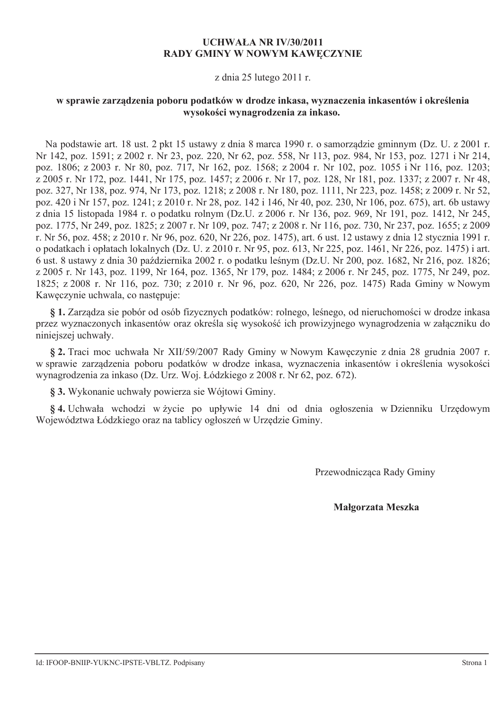## **UCHWAŁA NR IV/30/2011 RADY GMINY W NOWYM KAWECZYNIE**

## z dnia 25 lutego 2011 r.

# w sprawie zarządzenia poboru podatków w drodze inkasa, wyznaczenia inkasentów i określenia wysokości wynagrodzenia za inkaso.

Na podstawie art. 18 ust. 2 pkt 15 ustawy z dnia 8 marca 1990 r. o samorządzie gminnym (Dz. U. z 2001 r. Nr 142, poz. 1591; z 2002 r. Nr 23, poz. 220, Nr 62, poz. 558, Nr 113, poz. 984, Nr 153, poz. 1271 i Nr 214, poz. 1806; z 2003 r. Nr 80, poz. 717, Nr 162, poz. 1568; z 2004 r. Nr 102, poz. 1055 i Nr 116, poz. 1203; z 2005 r. Nr 172, poz. 1441, Nr 175, poz. 1457; z 2006 r. Nr 17, poz. 128, Nr 181, poz. 1337; z 2007 r. Nr 48, poz. 327, Nr 138, poz. 974, Nr 173, poz. 1218; z 2008 r. Nr 180, poz. 1111, Nr 223, poz. 1458; z 2009 r. Nr 52, poz. 420 i Nr 157, poz. 1241; z 2010 r. Nr 28, poz. 142 i 146, Nr 40, poz. 230, Nr 106, poz. 675), art. 6b ustawy z dnia 15 listopada 1984 r. o podatku rolnym (Dz.U. z 2006 r. Nr 136, poz. 969, Nr 191, poz. 1412, Nr 245, poz. 1775, Nr 249, poz. 1825; z 2007 r. Nr 109, poz. 747; z 2008 r. Nr 116, poz. 730, Nr 237, poz. 1655; z 2009 r. Nr 56, poz. 458; z 2010 r. Nr 96, poz. 620, Nr 226, poz. 1475), art. 6 ust. 12 ustawy z dnia 12 stycznia 1991 r. o podatkach i opłatach lokalnych (Dz. U. z 2010 r. Nr 95, poz. 613, Nr 225, poz. 1461, Nr 226, poz. 1475) i art. 6 ust. 8 ustawy z dnia 30 października 2002 r. o podatku leśnym (Dz.U. Nr 200, poz. 1682, Nr 216, poz. 1826; z 2005 r. Nr 143, poz. 1199, Nr 164, poz. 1365, Nr 179, poz. 1484; z 2006 r. Nr 245, poz. 1775, Nr 249, poz. 1825; z 2008 r. Nr 116, poz. 730; z 2010 r. Nr 96, poz. 620, Nr 226, poz. 1475) Rada Gminy w Nowym Kaweczynie uchwala, co nastepuje:

§ 1. Zarządza się pobór od osób fizycznych podatków: rolnego, leśnego, od nieruchomości w drodze inkasa przez wyznaczonych inkasentów oraz określa się wysokość ich prowizyjnego wynagrodzenia w załączniku do niniejszej uchwały.

§ 2. Traci moc uchwała Nr XII/59/2007 Rady Gminy w Nowym Kaweczynie z dnia 28 grudnia 2007 r. w sprawie zarządzenia poboru podatków w drodze inkasa, wyznaczenia inkasentów i określenia wysokości wynagrodzenia za inkaso (Dz. Urz. Woj. Łódzkiego z 2008 r. Nr 62, poz. 672).

§ 3. Wykonanie uchwały powierza sie Wójtowi Gminy.

§4. Uchwała wchodzi w życie po upływie 14 dni od dnia ogłoszenia w Dzienniku Urzędowym Województwa Łódzkiego oraz na tablicy ogłoszeń w Urzędzie Gminy.

Przewodnicząca Rady Gminy

#### Małgorzata Meszka